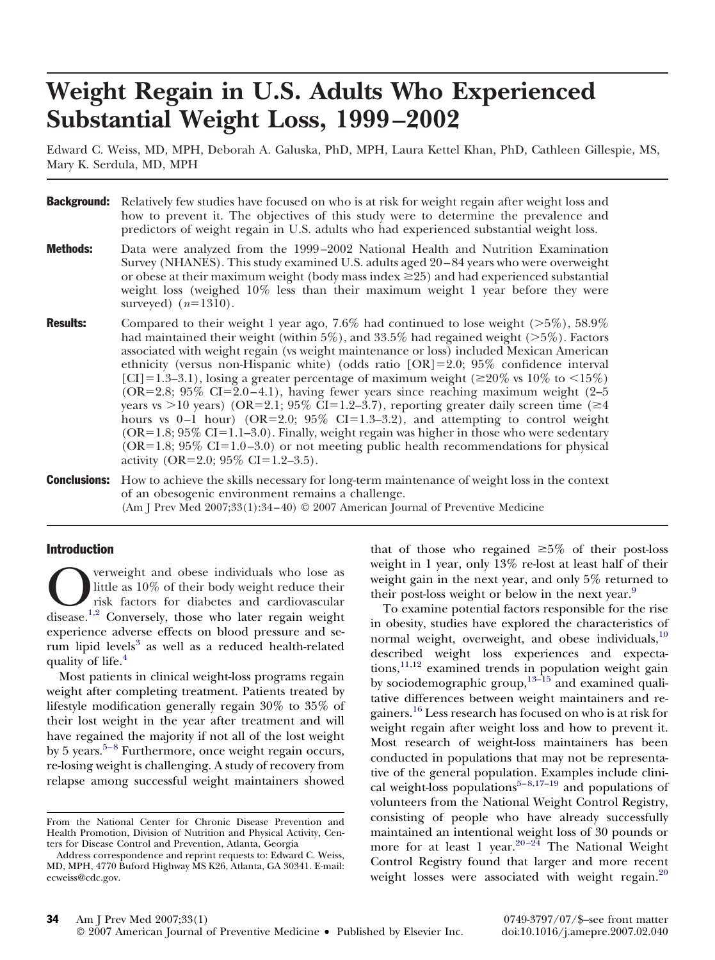# **Weight Regain in U.S. Adults Who Experienced Substantial Weight Loss, 1999 –2002**

Edward C. Weiss, MD, MPH, Deborah A. Galuska, PhD, MPH, Laura Kettel Khan, PhD, Cathleen Gillespie, MS, Mary K. Serdula, MD, MPH

- **Background:** Relatively few studies have focused on who is at risk for weight regain after weight loss and how to prevent it. The objectives of this study were to determine the prevalence and predictors of weight regain in U.S. adults who had experienced substantial weight loss.
- **Methods:** Data were analyzed from the 1999–2002 National Health and Nutrition Examination Survey (NHANES). This study examined U.S. adults aged 20–84 years who were overweight or obese at their maximum weight (body mass index  $\geq$  25) and had experienced substantial weight loss (weighed 10% less than their maximum weight 1 year before they were surveyed)  $(n=1310)$ .
- **Results:** Compared to their weight 1 year ago, 7.6% had continued to lose weight (>5%), 58.9% had maintained their weight (within 5%), and 33.5% had regained weight (>5%). Factors associated with weight regain (vs weight maintenance or loss) included Mexican American ethnicity (versus non-Hispanic white) (odds ratio  $[OR]=2.0$ ; 95% confidence interval [CI]=1.3–3.1), losing a greater percentage of maximum weight ( $\geq 20\%$  vs 10% to  $\leq 15\%$ ) (OR=2.8; 95% CI=2.0–4.1), having fewer years since reaching maximum weight (2–5) years vs  $>$ 10 years) (OR=2.1; 95% CI=1.2–3.7), reporting greater daily screen time (≥4 hours vs 0–1 hour) (OR=2.0; 95% CI=1.3–3.2), and attempting to control weight  $(OR=1.8; 95\% CI=1.1–3.0)$ . Finally, weight regain was higher in those who were sedentary (OR=1.8;  $95\%$  CI=1.0–3.0) or not meeting public health recommendations for physical activity (OR=2.0; 95\% CI=1.2–3.5).

**Conclusions:** How to achieve the skills necessary for long-term maintenance of weight loss in the context of an obesogenic environment remains a challenge. (Am J Prev Med 2007;33(1):34–40) © 2007 American Journal of Preventive Medicine

#### Introduction

**C[O](#page-5-0)VERGENT** verweight and obese individuals who lose as little as 10% of their body weight reduce their risk factors for diabetes and cardiovascular disease.<sup>1,2</sup> Conversely, those who later regain weight little as 10% of their body weight reduce their risk factors for diabetes and cardiovascular experience adverse effects on blood pressure and se-rum lipid levels<sup>[3](#page-5-0)</sup> as well as a reduced health-related quality of life.<sup>[4](#page-5-0)</sup>

Most patients in clinical weight-loss programs regain weight after completing treatment. Patients treated by lifestyle modification generally regain 30% to 35% of their lost weight in the year after treatment and will have regained the majority if not all of the lost weight by 5 years.<sup>[5–8](#page-5-0)</sup> Furthermore, once weight regain occurs, re-losing weight is challenging. A study of recovery from relapse among successful weight maintainers showed

that of those who regained  $\geq 5\%$  of their post-loss weight in 1 year, only 13% re-lost at least half of their weight gain in the next year, and only 5% returned to their post-loss weight or below in the next year.<sup>[9](#page-5-0)</sup>

To examine potential factors responsible for the rise in obesity, studies have explored the characteristics of normal weight, overweight, and obese individuals,<sup>[10](#page-5-0)</sup> described weight loss experiences and expectations, $^{11,12}$  $^{11,12}$  $^{11,12}$  examined trends in population weight gain by sociodemographic group, $13-\overline{15}$  and examined qualitative differences between weight maintainers and regainers.[16](#page-5-0) Less research has focused on who is at risk for weight regain after weight loss and how to prevent it. Most research of weight-loss maintainers has been conducted in populations that may not be representative of the general population. Examples include clini-cal weight-loss populations<sup>[5–8,17–19](#page-5-0)</sup> and populations of volunteers from the National Weight Control Registry, consisting of people who have already successfully maintained an intentional weight loss of 30 pounds or more for at least 1 year.<sup>[20–24](#page-5-0)</sup> The National Weight Control Registry found that larger and more recent weight losses were associated with weight regain.<sup>[20](#page-5-0)</sup>

From the National Center for Chronic Disease Prevention and Health Promotion, Division of Nutrition and Physical Activity, Centers for Disease Control and Prevention, Atlanta, Georgia

Address correspondence and reprint requests to: Edward C. Weiss, MD, MPH, 4770 Buford Highway MS K26, Atlanta, GA 30341. E-mail: ecweiss@cdc.gov.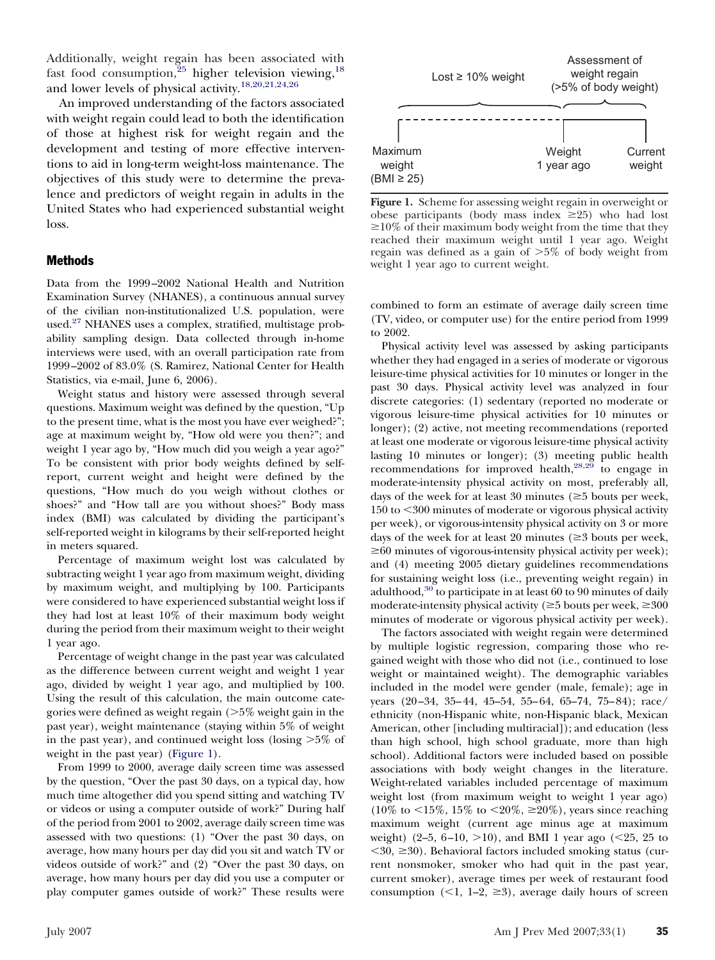Additionally, weight regain has been associated with fast food consumption,<sup>[25](#page-5-0)</sup> higher television viewing,<sup>[18](#page-5-0)</sup> and lower levels of physical activity.[18,20,21,24,26](#page-5-0)

An improved understanding of the factors associated with weight regain could lead to both the identification of those at highest risk for weight regain and the development and testing of more effective interventions to aid in long-term weight-loss maintenance. The objectives of this study were to determine the prevalence and predictors of weight regain in adults in the United States who had experienced substantial weight loss.

## Methods

Data from the 1999–2002 National Health and Nutrition Examination Survey (NHANES), a continuous annual survey of the civilian non-institutionalized U.S. population, were used[.27](#page-5-0) NHANES uses a complex, stratified, multistage probability sampling design. Data collected through in-home interviews were used, with an overall participation rate from 1999–2002 of 83.0% (S. Ramirez, National Center for Health Statistics, via e-mail, June 6, 2006).

Weight status and history were assessed through several questions. Maximum weight was defined by the question, "Up to the present time, what is the most you have ever weighed?"; age at maximum weight by, "How old were you then?"; and weight 1 year ago by, "How much did you weigh a year ago?" To be consistent with prior body weights defined by selfreport, current weight and height were defined by the questions, "How much do you weigh without clothes or shoes?" and "How tall are you without shoes?" Body mass index (BMI) was calculated by dividing the participant's self-reported weight in kilograms by their self-reported height in meters squared.

Percentage of maximum weight lost was calculated by subtracting weight 1 year ago from maximum weight, dividing by maximum weight, and multiplying by 100. Participants were considered to have experienced substantial weight loss if they had lost at least 10% of their maximum body weight during the period from their maximum weight to their weight 1 year ago.

Percentage of weight change in the past year was calculated as the difference between current weight and weight 1 year ago, divided by weight 1 year ago, and multiplied by 100. Using the result of this calculation, the main outcome categories were defined as weight regain  $(>\!5\%$  weight gain in the past year), weight maintenance (staying within 5% of weight in the past year), and continued weight loss (losing >5% of weight in the past year) (Figure 1).

From 1999 to 2000, average daily screen time was assessed by the question, "Over the past 30 days, on a typical day, how much time altogether did you spend sitting and watching TV or videos or using a computer outside of work?" During half of the period from 2001 to 2002, average daily screen time was assessed with two questions: (1) "Over the past 30 days, on average, how many hours per day did you sit and watch TV or videos outside of work?" and (2) "Over the past 30 days, on average, how many hours per day did you use a computer or play computer games outside of work?" These results were



**Figure 1.** Scheme for assessing weight regain in overweight or obese participants (body mass index  $\geq 25$ ) who had lost  $\geq$ 10% of their maximum body weight from the time that they reached their maximum weight until 1 year ago. Weight regain was defined as a gain of  $>5\%$  of body weight from weight 1 year ago to current weight.

combined to form an estimate of average daily screen time (TV, video, or computer use) for the entire period from 1999 to 2002.

Physical activity level was assessed by asking participants whether they had engaged in a series of moderate or vigorous leisure-time physical activities for 10 minutes or longer in the past 30 days. Physical activity level was analyzed in four discrete categories: (1) sedentary (reported no moderate or vigorous leisure-time physical activities for 10 minutes or longer); (2) active, not meeting recommendations (reported at least one moderate or vigorous leisure-time physical activity lasting 10 minutes or longer); (3) meeting public health recommendations for improved health, $28,29$  to engage in moderate-intensity physical activity on most, preferably all, days of the week for at least 30 minutes ( $\geq$ 5 bouts per week, 150 to 300 minutes of moderate or vigorous physical activity per week), or vigorous-intensity physical activity on 3 or more days of the week for at least 20 minutes ( $\geq$ 3 bouts per week,  $\geq 60$  minutes of vigorous-intensity physical activity per week); and (4) meeting 2005 dietary guidelines recommendations for sustaining weight loss (i.e., preventing weight regain) in adulthood, $30$  to participate in at least 60 to 90 minutes of daily moderate-intensity physical activity ( $\geq$ 5 bouts per week,  $\geq$ 300 minutes of moderate or vigorous physical activity per week).

The factors associated with weight regain were determined by multiple logistic regression, comparing those who regained weight with those who did not (i.e., continued to lose weight or maintained weight). The demographic variables included in the model were gender (male, female); age in years (20–34, 35–44, 45–54, 55–64, 65–74, 75–84); race/ ethnicity (non-Hispanic white, non-Hispanic black, Mexican American, other [including multiracial]); and education (less than high school, high school graduate, more than high school). Additional factors were included based on possible associations with body weight changes in the literature. Weight-related variables included percentage of maximum weight lost (from maximum weight to weight 1 year ago)  $(10\% \text{ to } 15\%, 15\% \text{ to } 15\%, \ge 20\%), \text{ years since reaching}$ maximum weight (current age minus age at maximum weight)  $(2-5, 6-10, >10)$ , and BMI 1 year ago  $(<25, 25$  to  $\langle 30, \geq 30 \rangle$ . Behavioral factors included smoking status (current nonsmoker, smoker who had quit in the past year, current smoker), average times per week of restaurant food consumption  $(\leq 1, 1-2, \geq 3)$ , average daily hours of screen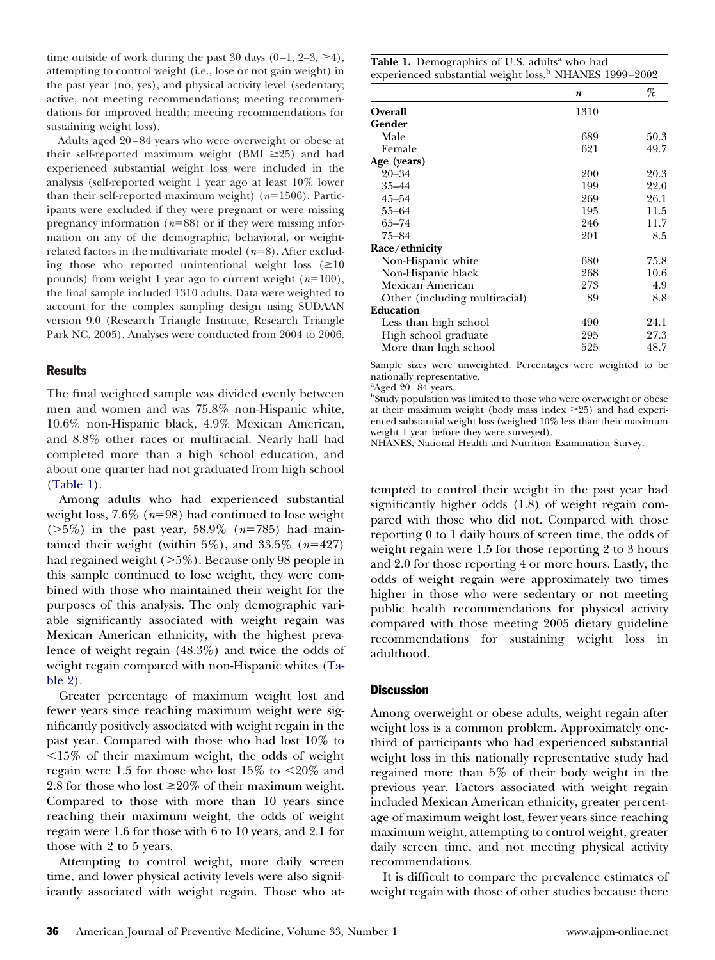time outside of work during the past 30 days  $(0-1, 2-3, \geq 4)$ , attempting to control weight (i.e., lose or not gain weight) in the past year (no, yes), and physical activity level (sedentary; active, not meeting recommendations; meeting recommendations for improved health; meeting recommendations for sustaining weight loss).

Adults aged 20–84 years who were overweight or obese at their self-reported maximum weight (BMI  $\geq$ 25) and had experienced substantial weight loss were included in the analysis (self-reported weight 1 year ago at least 10% lower than their self-reported maximum weight) ( $n=1506$ ). Participants were excluded if they were pregnant or were missing pregnancy information  $(n=88)$  or if they were missing information on any of the demographic, behavioral, or weightrelated factors in the multivariate model  $(n=8)$ . After excluding those who reported unintentional weight loss  $(\geq 10)$ pounds) from weight 1 year ago to current weight ( $n=100$ ), the final sample included 1310 adults. Data were weighted to account for the complex sampling design using SUDAAN version 9.0 (Research Triangle Institute, Research Triangle Park NC, 2005). Analyses were conducted from 2004 to 2006.

## **Results**

The final weighted sample was divided evenly between men and women and was 75.8% non-Hispanic white, 10.6% non-Hispanic black, 4.9% Mexican American, and 8.8% other races or multiracial. Nearly half had completed more than a high school education, and about one quarter had not graduated from high school (Table 1).

Among adults who had experienced substantial weight loss,  $7.6\%$  ( $n=98$ ) had continued to lose weight  $($  > 5%) in the past year, 58.9%  $(n=785)$  had maintained their weight (within  $5\%$ ), and  $33.5\%$  ( $n=427$ ) had regained weight (>5%). Because only 98 people in this sample continued to lose weight, they were combined with those who maintained their weight for the purposes of this analysis. The only demographic variable significantly associated with weight regain was Mexican American ethnicity, with the highest prevalence of weight regain (48.3%) and twice the odds of weight regain compared with non-Hispanic whites [\(Ta](#page-3-0)[ble 2\)](#page-3-0).

Greater percentage of maximum weight lost and fewer years since reaching maximum weight were significantly positively associated with weight regain in the past year. Compared with those who had lost 10% to  $15\%$  of their maximum weight, the odds of weight regain were 1.5 for those who lost 15% to  $\langle 20\% \rangle$  and 2.8 for those who lost  $\geq 20\%$  of their maximum weight. Compared to those with more than 10 years since reaching their maximum weight, the odds of weight regain were 1.6 for those with 6 to 10 years, and 2.1 for those with 2 to 5 years.

Attempting to control weight, more daily screen time, and lower physical activity levels were also significantly associated with weight regain. Those who at-

| <b>Table 1.</b> Demographics of U.S. adults <sup>a</sup> who had   |  |  |
|--------------------------------------------------------------------|--|--|
| experienced substantial weight loss, <sup>b</sup> NHANES 1999-2002 |  |  |

|                               | n    | %    |
|-------------------------------|------|------|
| Overall                       | 1310 |      |
| Gender                        |      |      |
| Male                          | 689  | 50.3 |
| Female                        | 621  | 49.7 |
| Age (years)                   |      |      |
| $20 - 34$                     | 200  | 20.3 |
| $35 - 44$                     | 199  | 22.0 |
| $45 - 54$                     | 269  | 26.1 |
| 55-64                         | 195  | 11.5 |
| $65 - 74$                     | 246  | 11.7 |
| $75 - 84$                     | 201  | 8.5  |
| Race/ethnicity                |      |      |
| Non-Hispanic white            | 680  | 75.8 |
| Non-Hispanic black            | 268  | 10.6 |
| Mexican American              | 273  | 4.9  |
| Other (including multiracial) | 89   | 8.8  |
| <b>Education</b>              |      |      |
| Less than high school         | 490  | 24.1 |
| High school graduate          | 295  | 27.3 |
| More than high school         | 525  | 48.7 |

Sample sizes were unweighted. Percentages were weighted to be nationally representative.

a Aged 20–84 years.

<sup>b</sup>Study population was limited to those who were overweight or obese at their maximum weight (body mass index  $\geq 25$ ) and had experienced substantial weight loss (weighed 10% less than their maximum weight 1 year before they were surveyed).

NHANES, National Health and Nutrition Examination Survey.

tempted to control their weight in the past year had significantly higher odds (1.8) of weight regain compared with those who did not. Compared with those reporting 0 to 1 daily hours of screen time, the odds of weight regain were 1.5 for those reporting 2 to 3 hours and 2.0 for those reporting 4 or more hours. Lastly, the odds of weight regain were approximately two times higher in those who were sedentary or not meeting public health recommendations for physical activity compared with those meeting 2005 dietary guideline recommendations for sustaining weight loss in adulthood.

#### **Discussion**

Among overweight or obese adults, weight regain after weight loss is a common problem. Approximately onethird of participants who had experienced substantial weight loss in this nationally representative study had regained more than 5% of their body weight in the previous year. Factors associated with weight regain included Mexican American ethnicity, greater percentage of maximum weight lost, fewer years since reaching maximum weight, attempting to control weight, greater daily screen time, and not meeting physical activity recommendations.

It is difficult to compare the prevalence estimates of weight regain with those of other studies because there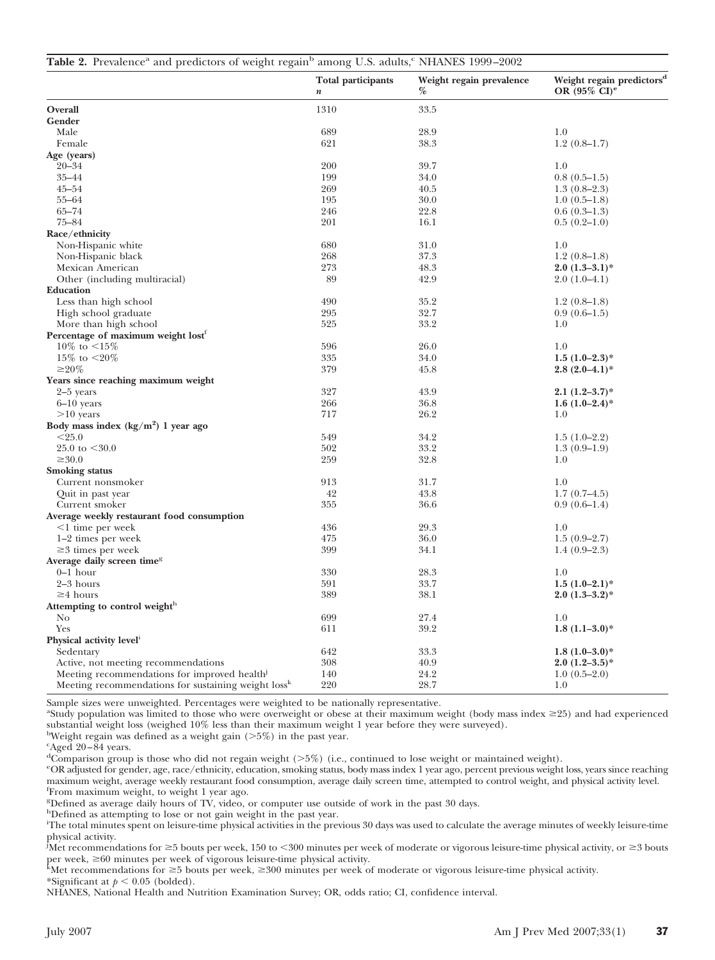<span id="page-3-0"></span>

|                                                                 | Table 2. Prevalence <sup>a</sup> and predictors of weight regain <sup>b</sup> among U.S. adults, <sup>c</sup> NHANES 1999-2002<br><b>Total participants</b> | Weight regain prevalence<br>% | Weight regain predictors <sup>d</sup><br>OR $(95\% \text{ CI})^{\text{e}}$ |
|-----------------------------------------------------------------|-------------------------------------------------------------------------------------------------------------------------------------------------------------|-------------------------------|----------------------------------------------------------------------------|
|                                                                 | $\boldsymbol{n}$                                                                                                                                            |                               |                                                                            |
| Overall                                                         | 1310                                                                                                                                                        | 33.5                          |                                                                            |
| Gender                                                          |                                                                                                                                                             |                               |                                                                            |
| Male                                                            | 689                                                                                                                                                         | 28.9                          | 1.0                                                                        |
| Female                                                          | 621                                                                                                                                                         | 38.3                          | $1.2(0.8-1.7)$                                                             |
| Age (years)                                                     |                                                                                                                                                             |                               |                                                                            |
| $20 - 34$                                                       | 200                                                                                                                                                         | 39.7                          | 1.0                                                                        |
| $35 - 44$                                                       | 199                                                                                                                                                         | 34.0                          | $0.8(0.5-1.5)$                                                             |
| $45 - 54$                                                       | 269                                                                                                                                                         | 40.5                          | $1.3(0.8-2.3)$                                                             |
| $55 - 64$                                                       | 195                                                                                                                                                         | 30.0                          | $1.0(0.5-1.8)$                                                             |
| $65 - 74$                                                       | 246                                                                                                                                                         | 22.8                          | $0.6(0.3-1.3)$                                                             |
| $75 - 84$                                                       | 201                                                                                                                                                         | 16.1                          | $0.5(0.2-1.0)$                                                             |
| Race/ethnicity                                                  |                                                                                                                                                             |                               |                                                                            |
| Non-Hispanic white                                              | 680                                                                                                                                                         | 31.0                          | 1.0                                                                        |
| Non-Hispanic black                                              | 268                                                                                                                                                         | 37.3                          | $1.2(0.8-1.8)$                                                             |
| Mexican American                                                | 273                                                                                                                                                         | 48.3                          | $2.0(1.3-3.1)^*$                                                           |
| Other (including multiracial)                                   | 89                                                                                                                                                          | 42.9                          | $2.0(1.0-4.1)$                                                             |
| Education                                                       |                                                                                                                                                             |                               |                                                                            |
| Less than high school                                           | 490                                                                                                                                                         | 35.2                          | $1.2(0.8-1.8)$                                                             |
| High school graduate                                            | 295                                                                                                                                                         | 32.7                          | $0.9(0.6-1.5)$                                                             |
| More than high school                                           | 525                                                                                                                                                         | 33.2                          | 1.0                                                                        |
| Percentage of maximum weight lost <sup>1</sup>                  |                                                                                                                                                             |                               |                                                                            |
| 10\% to $\leq 15\%$                                             | 596                                                                                                                                                         | 26.0                          | 1.0                                                                        |
| 15\% to $<20\%$                                                 | 335                                                                                                                                                         | 34.0                          | $1.5(1.0-2.3)$ *                                                           |
| $\geq$ 20%                                                      | 379                                                                                                                                                         | 45.8                          | $2.8(2.0-4.1)$ *                                                           |
| Years since reaching maximum weight                             |                                                                                                                                                             |                               |                                                                            |
| $2-5$ years                                                     | 327                                                                                                                                                         | 43.9                          | $2.1(1.2-3.7)$ *                                                           |
| $6-10$ years                                                    | 266                                                                                                                                                         | 36.8                          | $1.6(1.0-2.4)$ *                                                           |
| $>10$ years                                                     | 717                                                                                                                                                         | 26.2                          | 1.0                                                                        |
| Body mass index (kg/m <sup>2</sup> ) 1 year ago                 |                                                                                                                                                             |                               |                                                                            |
| $<$ 25.0                                                        | 549                                                                                                                                                         | 34.2                          | $1.5(1.0-2.2)$                                                             |
| 25.0 to $< 30.0$                                                | 502                                                                                                                                                         | 33.2                          | $1.3(0.9-1.9)$                                                             |
| $\geq 30.0$                                                     | 259                                                                                                                                                         | 32.8                          | 1.0                                                                        |
| <b>Smoking status</b>                                           |                                                                                                                                                             |                               |                                                                            |
| Current nonsmoker                                               | 913                                                                                                                                                         | 31.7                          | 1.0                                                                        |
|                                                                 | 42                                                                                                                                                          | 43.8                          | $1.7(0.7-4.5)$                                                             |
| Quit in past year<br>Current smoker                             | 355                                                                                                                                                         | 36.6                          | $0.9(0.6-1.4)$                                                             |
| Average weekly restaurant food consumption                      |                                                                                                                                                             |                               |                                                                            |
|                                                                 | 436                                                                                                                                                         | 29.3                          | 1.0                                                                        |
| $\leq$ 1 time per week                                          | 475                                                                                                                                                         | 36.0                          | $1.5(0.9-2.7)$                                                             |
| $1-2$ times per week<br>$\geq$ 3 times per week                 | 399                                                                                                                                                         | 34.1                          | $1.4(0.9-2.3)$                                                             |
|                                                                 |                                                                                                                                                             |                               |                                                                            |
| Average daily screen time <sup>s</sup><br>$0-1$ hour            | 330                                                                                                                                                         | 28.3                          | 1.0                                                                        |
| $2-3$ hours                                                     | 591                                                                                                                                                         | 33.7                          | $1.5(1.0-2.1)$ *                                                           |
| $\geq$ 4 hours                                                  | 389                                                                                                                                                         | 38.1                          |                                                                            |
|                                                                 |                                                                                                                                                             |                               | $2.0(1.3-3.2)*$                                                            |
| Attempting to control weight <sup>h</sup><br>No                 | 699                                                                                                                                                         | 27.4                          | 1.0                                                                        |
|                                                                 |                                                                                                                                                             |                               |                                                                            |
| Yes                                                             | 611                                                                                                                                                         | 39.2                          | $1.8(1.1-3.0)*$                                                            |
| Physical activity level <sup>1</sup>                            |                                                                                                                                                             |                               |                                                                            |
| Sedentary                                                       | 642                                                                                                                                                         | 33.3                          | $1.8(1.0-3.0)*$                                                            |
| Active, not meeting recommendations                             | 308                                                                                                                                                         | 40.9                          | $2.0(1.2-3.5)^*$                                                           |
| Meeting recommendations for improved health                     | 140                                                                                                                                                         | 24.2                          | $1.0(0.5-2.0)$                                                             |
| Meeting recommendations for sustaining weight loss <sup>k</sup> | 220                                                                                                                                                         | 28.7                          | 1.0                                                                        |

Sample sizes were unweighted. Percentages were weighted to be nationally representative.

a Study population was limited to those who were overweight or obese at their maximum weight (body mass index 25) and had experienced substantial weight loss (weighed 10% less than their maximum weight 1 year before they were surveyed).

bWeight regain was defined as a weight gain ( $>5\%$ ) in the past year.

Aged 20–84 years.

<sup>d</sup>Comparison group is those who did not regain weight (>5%) (i.e., continued to lose weight or maintained weight).<br><sup>e</sup>OR adjusted for gender, age race/ethnicity education smoking status, body mass index 1 year ago, perce

OR adjusted for gender, age, race/ethnicity, education, smoking status, body mass index 1 year ago, percent previous weight loss, years since reaching maximum weight, average weekly restaurant food consumption, average daily screen time, attempted to control weight, and physical activity level. f From maximum weight, to weight 1 year ago.

<sup>8</sup>Defined as average daily hours of TV, video, or computer use outside of work in the past 30 days.

hDefined as attempting to lose or not gain weight in the past year.

i The total minutes spent on leisure-time physical activities in the previous 30 days was used to calculate the average minutes of weekly leisure-time physical activity.

,<br>Met recommendations for ≥5 bouts per week, 150 to <300 minutes per week of moderate or vigorous leisure-time physical activity, or ≥3 bouts per week, ≥60 minutes per week of vigorous leisure-time physical activity.<br><sup>k</sup>Met recommendations for ≥5 bouts per week, ≥300 minutes per week of moderate or vigorous leisure-time physical activity.

\*Significant at  $p < 0.05$  (bolded).

NHANES, National Health and Nutrition Examination Survey; OR, odds ratio; CI, confidence interval.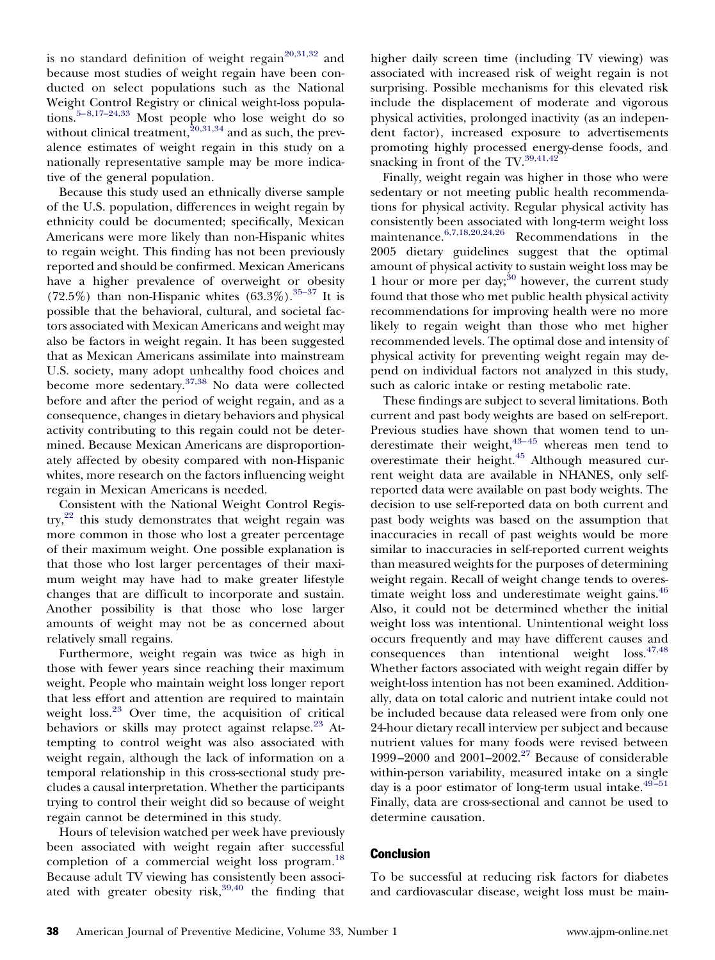is no standard definition of weight regain<sup>[20,31,32](#page-5-0)</sup> and because most studies of weight regain have been conducted on select populations such as the National Weight Control Registry or clinical weight-loss populations.<sup>5-8,17-24,33</sup> Most people who lose weight do so without clinical treatment, $20,31,34$  and as such, the prevalence estimates of weight regain in this study on a nationally representative sample may be more indicative of the general population.

Because this study used an ethnically diverse sample of the U.S. population, differences in weight regain by ethnicity could be documented; specifically, Mexican Americans were more likely than non-Hispanic whites to regain weight. This finding has not been previously reported and should be confirmed. Mexican Americans have a higher prevalence of overweight or obesity (72.5%) than non-Hispanic whites  $(63.3\%)$ .<sup>[35–37](#page-5-0)</sup> It is possible that the behavioral, cultural, and societal factors associated with Mexican Americans and weight may also be factors in weight regain. It has been suggested that as Mexican Americans assimilate into mainstream U.S. society, many adopt unhealthy food choices and become more sedentary.[37,38](#page-5-0) No data were collected before and after the period of weight regain, and as a consequence, changes in dietary behaviors and physical activity contributing to this regain could not be determined. Because Mexican Americans are disproportionately affected by obesity compared with non-Hispanic whites, more research on the factors influencing weight regain in Mexican Americans is needed.

Consistent with the National Weight Control Regis $try, <sup>22</sup>$  this study demonstrates that weight regain was more common in those who lost a greater percentage of their maximum weight. One possible explanation is that those who lost larger percentages of their maximum weight may have had to make greater lifestyle changes that are difficult to incorporate and sustain. Another possibility is that those who lose larger amounts of weight may not be as concerned about relatively small regains.

Furthermore, weight regain was twice as high in those with fewer years since reaching their maximum weight. People who maintain weight loss longer report that less effort and attention are required to maintain weight loss.<sup>[23](#page-5-0)</sup> Over time, the acquisition of critical behaviors or skills may protect against relapse.<sup>[23](#page-5-0)</sup> Attempting to control weight was also associated with weight regain, although the lack of information on a temporal relationship in this cross-sectional study precludes a causal interpretation. Whether the participants trying to control their weight did so because of weight regain cannot be determined in this study.

Hours of television watched per week have previously been associated with weight regain after successful completion of a commercial weight loss program.<sup>[18](#page-5-0)</sup> Because adult TV viewing has consistently been associated with greater obesity risk, $39,40$  the finding that higher daily screen time (including TV viewing) was associated with increased risk of weight regain is not surprising. Possible mechanisms for this elevated risk include the displacement of moderate and vigorous physical activities, prolonged inactivity (as an independent factor), increased exposure to advertisements promoting highly processed energy-dense foods, and snacking in front of the TV. $^{39,41,42}$  $^{39,41,42}$  $^{39,41,42}$ 

Finally, weight regain was higher in those who were sedentary or not meeting public health recommendations for physical activity. Regular physical activity has consistently been associated with long-term weight loss maintenance.  $6,7,18,20,24,26$  Recommendations in the 2005 dietary guidelines suggest that the optimal amount of physical activity to sustain weight loss may be 1 hour or more per day;<sup>[30](#page-5-0)</sup> however, the current study found that those who met public health physical activity recommendations for improving health were no more likely to regain weight than those who met higher recommended levels. The optimal dose and intensity of physical activity for preventing weight regain may depend on individual factors not analyzed in this study, such as caloric intake or resting metabolic rate.

These findings are subject to several limitations. Both current and past body weights are based on self-report. Previous studies have shown that women tend to underestimate their weight, $43-45$  whereas men tend to overestimate their height.<sup>[45](#page-5-0)</sup> Although measured current weight data are available in NHANES, only selfreported data were available on past body weights. The decision to use self-reported data on both current and past body weights was based on the assumption that inaccuracies in recall of past weights would be more similar to inaccuracies in self-reported current weights than measured weights for the purposes of determining weight regain. Recall of weight change tends to overes-timate weight loss and underestimate weight gains.<sup>[46](#page-5-0)</sup> Also, it could not be determined whether the initial weight loss was intentional. Unintentional weight loss occurs frequently and may have different causes and consequences than intentional weight loss.  $47,48$ Whether factors associated with weight regain differ by weight-loss intention has not been examined. Additionally, data on total caloric and nutrient intake could not be included because data released were from only one 24-hour dietary recall interview per subject and because nutrient values for many foods were revised between 1999–2000 and 2001–2002.<sup>[27](#page-5-0)</sup> Because of considerable within-person variability, measured intake on a single day is a poor estimator of long-term usual intake. $49-51$ Finally, data are cross-sectional and cannot be used to determine causation.

# Conclusion

To be successful at reducing risk factors for diabetes and cardiovascular disease, weight loss must be main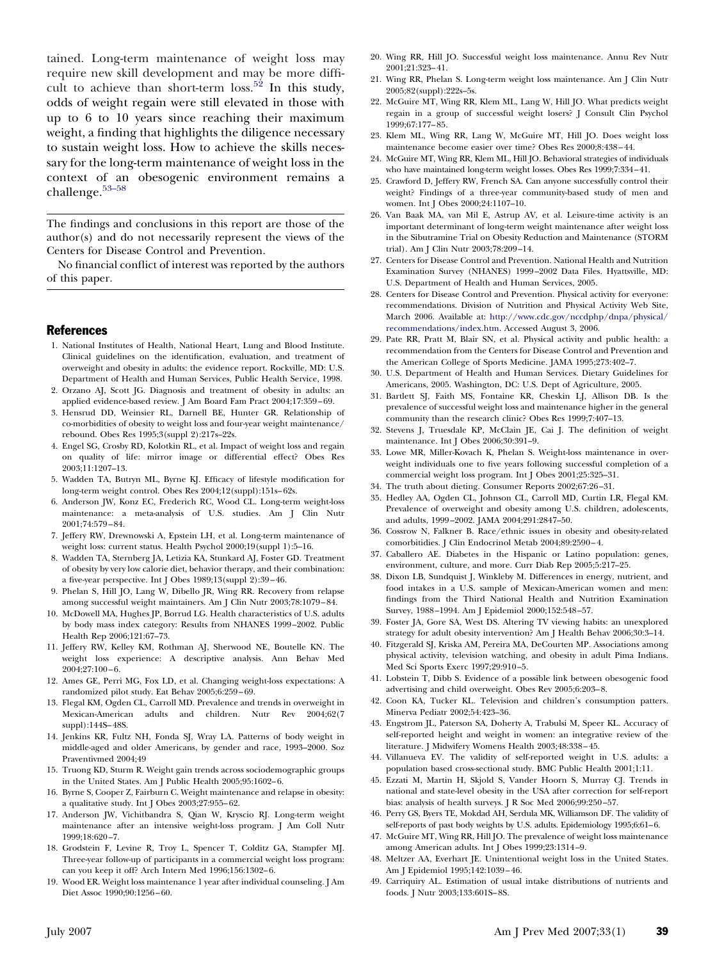<span id="page-5-0"></span>tained. Long-term maintenance of weight loss may require new skill development and may be more diffi-cult to achieve than short-term loss.<sup>[52](#page-6-0)</sup> In this study, odds of weight regain were still elevated in those with up to 6 to 10 years since reaching their maximum weight, a finding that highlights the diligence necessary to sustain weight loss. How to achieve the skills necessary for the long-term maintenance of weight loss in the context of an obesogenic environment remains a challenge.[53–58](#page-6-0)

The findings and conclusions in this report are those of the author(s) and do not necessarily represent the views of the Centers for Disease Control and Prevention.

No financial conflict of interest was reported by the authors of this paper.

#### References

- 1. National Institutes of Health, National Heart, Lung and Blood Institute. Clinical guidelines on the identification, evaluation, and treatment of overweight and obesity in adults: the evidence report. Rockville, MD: U.S. Department of Health and Human Services, Public Health Service, 1998.
- 2. Orzano AJ, Scott JG. Diagnosis and treatment of obesity in adults: an applied evidence-based review. J Am Board Fam Pract 2004;17:359–69.
- 3. Hensrud DD, Weinsier RL, Darnell BE, Hunter GR. Relationship of co-morbidities of obesity to weight loss and four-year weight maintenance/ rebound. Obes Res 1995;3(suppl 2):217s–22s.
- 4. Engel SG, Crosby RD, Kolotkin RL, et al. Impact of weight loss and regain on quality of life: mirror image or differential effect? Obes Res 2003;11:1207–13.
- 5. Wadden TA, Butryn ML, Byrne KJ. Efficacy of lifestyle modification for long-term weight control. Obes Res 2004;12(suppl):151s–62s.
- 6. Anderson JW, Konz EC, Frederich RC, Wood CL. Long-term weight-loss maintenance: a meta-analysis of U.S. studies. Am J Clin Nutr 2001;74:579–84.
- 7. Jeffery RW, Drewnowski A, Epstein LH, et al. Long-term maintenance of weight loss: current status. Health Psychol 2000;19(suppl 1):5–16.
- 8. Wadden TA, Sternberg JA, Letizia KA, Stunkard AJ, Foster GD. Treatment of obesity by very low calorie diet, behavior therapy, and their combination: a five-year perspective. Int J Obes 1989;13(suppl 2):39–46.
- 9. Phelan S, Hill JO, Lang W, Dibello JR, Wing RR. Recovery from relapse among successful weight maintainers. Am J Clin Nutr 2003;78:1079–84.
- 10. McDowell MA, Hughes JP, Borrud LG. Health characteristics of U.S. adults by body mass index category: Results from NHANES 1999–2002. Public Health Rep 2006;121:67–73.
- 11. Jeffery RW, Kelley KM, Rothman AJ, Sherwood NE, Boutelle KN. The weight loss experience: A descriptive analysis. Ann Behav Med 2004;27:100–6.
- 12. Ames GE, Perri MG, Fox LD, et al. Changing weight-loss expectations: A randomized pilot study. Eat Behav 2005;6:259–69.
- 13. Flegal KM, Ogden CL, Carroll MD. Prevalence and trends in overweight in Mexican-American adults and children. Nutr Rev 2004;62(7 suppl):144S–48S.
- 14. Jenkins KR, Fultz NH, Fonda SJ, Wray LA. Patterns of body weight in middle-aged and older Americans, by gender and race, 1993–2000. Soz Praventivmed 2004;49
- 15. Truong KD, Sturm R. Weight gain trends across sociodemographic groups in the United States. Am J Public Health 2005;95:1602–6.
- 16. Byrne S, Cooper Z, Fairburn C. Weight maintenance and relapse in obesity: a qualitative study. Int J Obes 2003;27:955–62.
- 17. Anderson JW, Vichitbandra S, Qian W, Kryscio RJ. Long-term weight maintenance after an intensive weight-loss program. J Am Coll Nutr 1999;18:620–7.
- 18. Grodstein F, Levine R, Troy L, Spencer T, Colditz GA, Stampfer MJ. Three-year follow-up of participants in a commercial weight loss program: can you keep it off? Arch Intern Med 1996;156:1302–6.
- 19. Wood ER. Weight loss maintenance 1 year after individual counseling. J Am Diet Assoc 1990;90:1256–60.
- 20. Wing RR, Hill JO. Successful weight loss maintenance. Annu Rev Nutr 2001;21:323–41.
- 21. Wing RR, Phelan S. Long-term weight loss maintenance. Am J Clin Nutr 2005;82(suppl):222s–5s.
- 22. McGuire MT, Wing RR, Klem ML, Lang W, Hill JO. What predicts weight regain in a group of successful weight losers? J Consult Clin Psychol 1999;67:177–85.
- 23. Klem ML, Wing RR, Lang W, McGuire MT, Hill JO. Does weight loss maintenance become easier over time? Obes Res 2000;8:438–44.
- 24. McGuire MT, Wing RR, Klem ML, Hill JO. Behavioral strategies of individuals who have maintained long-term weight losses. Obes Res 1999;7:334–41.
- 25. Crawford D, Jeffery RW, French SA. Can anyone successfully control their weight? Findings of a three-year community-based study of men and women. Int J Obes 2000;24:1107–10.
- 26. Van Baak MA, van Mil E, Astrup AV, et al. Leisure-time activity is an important determinant of long-term weight maintenance after weight loss in the Sibutramine Trial on Obesity Reduction and Maintenance (STORM trial). Am J Clin Nutr 2003;78:209–14.
- 27. Centers for Disease Control and Prevention. National Health and Nutrition Examination Survey (NHANES) 1999–2002 Data Files. Hyattsville, MD: U.S. Department of Health and Human Services, 2005.
- 28. Centers for Disease Control and Prevention. Physical activity for everyone: recommendations. Division of Nutrition and Physical Activity Web Site, March 2006. Available at: [http://www.cdc.gov/nccdphp/dnpa/physical/](http://www.cdc.gov/nccdphp/dnpa/physical/recommendations/index.htm) [recommendations/index.htm.](http://www.cdc.gov/nccdphp/dnpa/physical/recommendations/index.htm) Accessed August 3, 2006.
- 29. Pate RR, Pratt M, Blair SN, et al. Physical activity and public health: a recommendation from the Centers for Disease Control and Prevention and the American College of Sports Medicine. JAMA 1995;273:402–7.
- 30. U.S. Department of Health and Human Services. Dietary Guidelines for Americans, 2005. Washington, DC: U.S. Dept of Agriculture, 2005.
- 31. Bartlett SJ, Faith MS, Fontaine KR, Cheskin LJ, Allison DB. Is the prevalence of successful weight loss and maintenance higher in the general community than the research clinic? Obes Res 1999;7:407–13.
- 32. Stevens J, Truesdale KP, McClain JE, Cai J. The definition of weight maintenance. Int J Obes 2006;30:391–9.
- 33. Lowe MR, Miller-Kovach K, Phelan S. Weight-loss maintenance in overweight individuals one to five years following successful completion of a commercial weight loss program. Int J Obes 2001;25:325–31.
- 34. The truth about dieting. Consumer Reports 2002;67:26–31.
- 35. Hedley AA, Ogden CL, Johnson CL, Carroll MD, Curtin LR, Flegal KM. Prevalence of overweight and obesity among U.S. children, adolescents, and adults, 1999–2002. JAMA 2004;291:2847–50.
- 36. Cossrow N, Falkner B. Race/ethnic issues in obesity and obesity-related comorbitidies. J Clin Endocrinol Metab 2004;89:2590–4.
- 37. Caballero AE. Diabetes in the Hispanic or Latino population: genes, environment, culture, and more. Curr Diab Rep 2005;5:217–25.
- 38. Dixon LB, Sundquist J, Winkleby M. Differences in energy, nutrient, and food intakes in a U.S. sample of Mexican-American women and men: findings from the Third National Health and Nutrition Examination Survey, 1988–1994. Am J Epidemiol 2000;152:548–57.
- 39. Foster JA, Gore SA, West DS. Altering TV viewing habits: an unexplored strategy for adult obesity intervention? Am J Health Behav 2006;30:3–14.
- 40. Fitzgerald SJ, Kriska AM, Pereira MA, DeCourten MP. Associations among physical activity, television watching, and obesity in adult Pima Indians. Med Sci Sports Exerc 1997;29:910–5.
- 41. Lobstein T, Dibb S. Evidence of a possible link between obesogenic food advertising and child overweight. Obes Rev 2005;6:203–8.
- 42. Coon KA, Tucker KL. Television and children's consumption patters. Minerva Pediatr 2002;54:423–36.
- 43. Engstrom JL, Paterson SA, Doherty A, Trabulsi M, Speer KL. Accuracy of self-reported height and weight in women: an integrative review of the literature. J Midwifery Womens Health 2003;48:338–45.
- 44. Villanueva EV. The validity of self-reported weight in U.S. adults: a population based cross-sectional study. BMC Public Health 2001;1:11.
- 45. Ezzati M, Martin H, Skjold S, Vander Hoorn S, Murray CJ. Trends in national and state-level obesity in the USA after correction for self-report bias: analysis of health surveys. J R Soc Med 2006;99:250–57.
- 46. Perry GS, Byers TE, Mokdad AH, Serdula MK, Williamson DF. The validity of self-reports of past body weights by U.S. adults. Epidemiology 1995;6:61–6.
- 47. McGuire MT, Wing RR, Hill JO. The prevalence of weight loss maintenance among American adults. Int J Obes 1999;23:1314–9.
- 48. Meltzer AA, Everhart JE. Unintentional weight loss in the United States. Am J Epidemiol 1995;142:1039–46.
- 49. Carriquiry AL. Estimation of usual intake distributions of nutrients and foods. J Nutr 2003;133:601S–8S.